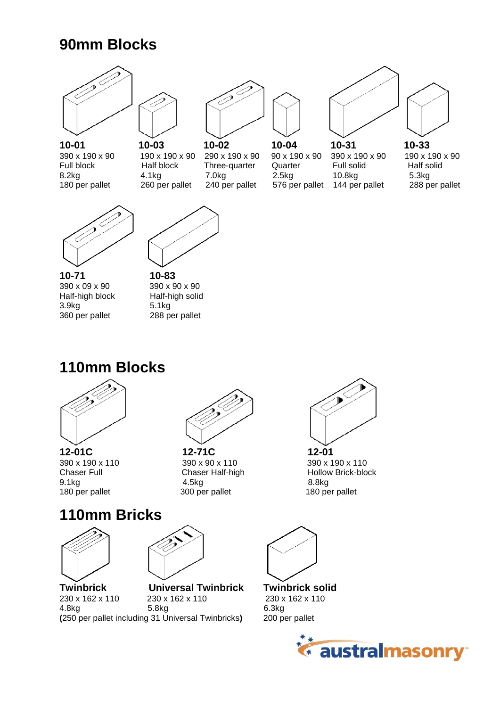## **90mm Blocks**



180 per pallet 260 per pallet 240 per pallet 576 per pallet 144 per pallet 288 per pallet





390 x 190 x 90 190 x 190 x 90 290 x 190 x 90 90 x 190 x 90 390 x 190 x 90 190 x 190 x 90 Full block Half block Three-quarter Quarter Full solid Half solid 8.2kg 4.1kg 7.0kg 2.5kg 10.8kg 5.3kg







**10-71 10-83**<br> $390 \times 09 \times 90$   $390 \times 90 \times 90$ 390 x 09 x 90 390 x 90 x 90<br>
Half-high block Half-high solid Half-high block 3.9kg 5.1kg 360 per pallet



## **110mm Blocks**





**12-01C 12-71C 12-01** Chaser Half-high 9.1kg 4.5kg 8.8kg 180 per pallet 300 per pallet 180 per pallet



390 x 190 x 110 390 x 90 x 110 390 x 110 390 x 190 x 110<br>Chaser Full Chaser Half-high 390 x 10llow Brick-block

## **110mm Bricks**





**Twinbrick Universal Twinbrick Twinbrick solid**<br> $230 \times 162 \times 110$   $230 \times 162 \times 110$   $230 \times 162 \times 110$ 230 x 162 x 110 230 x 162 x 110<br>4.8kg 5.8kg 5.8kg 6.3kg<br>31 Universal Twinbricks) 200 per pallet **(250 per pallet including 31 Universal Twinbricks)** 



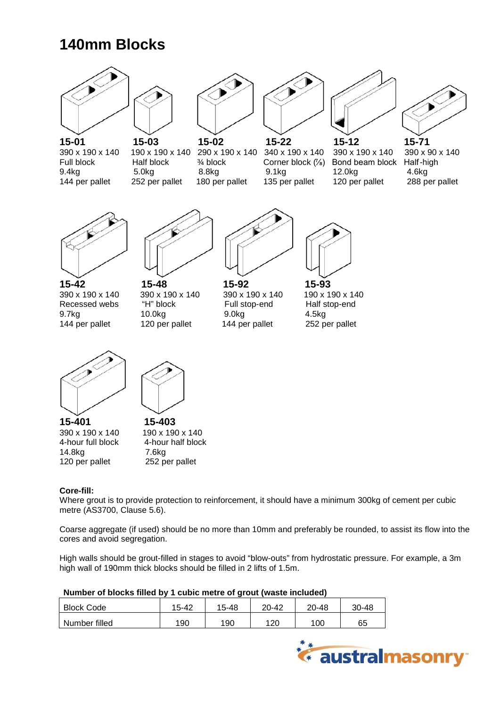# **140mm Blocks**







9.4kg 5.0kg 8.8kg 9.1kg 12.0kg 4.6kg 144 per pallet 252 per pallet 180 per pallet 135 per pallet 120 per pallet 288 per pallet



 **15-01 15-03 15-02 15-22 15-12 15-71** 390 x 190 x 140 190 x 190 x 140 290 x 190 x 140 340 x 190 x 140 390 x 190 x 140 390 x 90 x 140<br>Full block Half-high Half block <sup>3</sup>/4 block Corner block (<sup>7/</sup><sub>8</sub>) Bond beam block Half-high Full block Half block <sup>3</sup>/<sub>4</sub> block Corner block (<sup>7</sup>/<sub>6</sub>) Bond beam block Half-hi<br>9.4kg 12.0kg 16kg 8.8kg 9.1kg 12.0kg 4.6kg







**15-42 15-48 15-92 15-93**  390 x 190 x 140 390 x 190 x 140 390 x 190 x 140 390 x 190 x 190 x 140<br>Recessed webs "H" block 590 Full stop-end Half stop-end Recessed webs "H" block Full stop-end Half stop-end 9.7kg 10.0kg 9.0kg 4.5kg 144 per pallet 120 per pallet 144 per pallet 252 per pallet







**15-401 15-403**<br>390 x 190 x 140 **190 x 190 x 140** 390 x 190 x 140<br>4-hour full block 14.8kg 7.6kg 120 per pallet 252 per pallet

4-hour half block

### **Core-fill:**

Where grout is to provide protection to reinforcement, it should have a minimum 300kg of cement per cubic metre (AS3700, Clause 5.6).

Coarse aggregate (if used) should be no more than 10mm and preferably be rounded, to assist its flow into the cores and avoid segregation.

High walls should be grout-filled in stages to avoid "blow-outs" from hydrostatic pressure. For example, a 3m high wall of 190mm thick blocks should be filled in 2 lifts of 1.5m.

#### **Number of blocks filled by 1 cubic metre of grout (waste included)**

| <b>Block Code</b> | 15-42 | 15-48 | $20 - 42$ | 20-48 | $30 - 48$ |
|-------------------|-------|-------|-----------|-------|-----------|
| Number filled     | 190   | 190   | 120       | 100   | 65        |